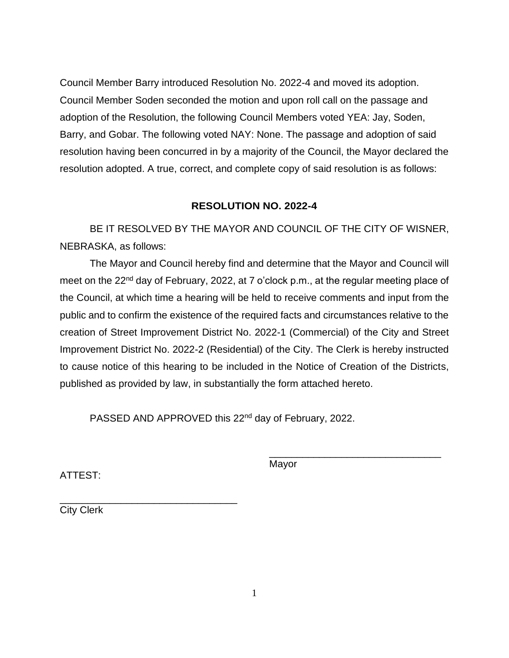Council Member Barry introduced Resolution No. 2022-4 and moved its adoption. Council Member Soden seconded the motion and upon roll call on the passage and adoption of the Resolution, the following Council Members voted YEA: Jay, Soden, Barry, and Gobar. The following voted NAY: None. The passage and adoption of said resolution having been concurred in by a majority of the Council, the Mayor declared the resolution adopted. A true, correct, and complete copy of said resolution is as follows:

## **RESOLUTION NO. 2022-4**

BE IT RESOLVED BY THE MAYOR AND COUNCIL OF THE CITY OF WISNER, NEBRASKA, as follows:

The Mayor and Council hereby find and determine that the Mayor and Council will meet on the 22<sup>nd</sup> day of February, 2022, at 7 o'clock p.m., at the regular meeting place of the Council, at which time a hearing will be held to receive comments and input from the public and to confirm the existence of the required facts and circumstances relative to the creation of Street Improvement District No. 2022-1 (Commercial) of the City and Street Improvement District No. 2022-2 (Residential) of the City. The Clerk is hereby instructed to cause notice of this hearing to be included in the Notice of Creation of the Districts, published as provided by law, in substantially the form attached hereto.

PASSED AND APPROVED this 22<sup>nd</sup> day of February, 2022.

ATTEST:

Mayor

\_\_\_\_\_\_\_\_\_\_\_\_\_\_\_\_\_\_\_\_\_\_\_\_\_\_\_\_\_\_\_

City Clerk

\_\_\_\_\_\_\_\_\_\_\_\_\_\_\_\_\_\_\_\_\_\_\_\_\_\_\_\_\_\_\_\_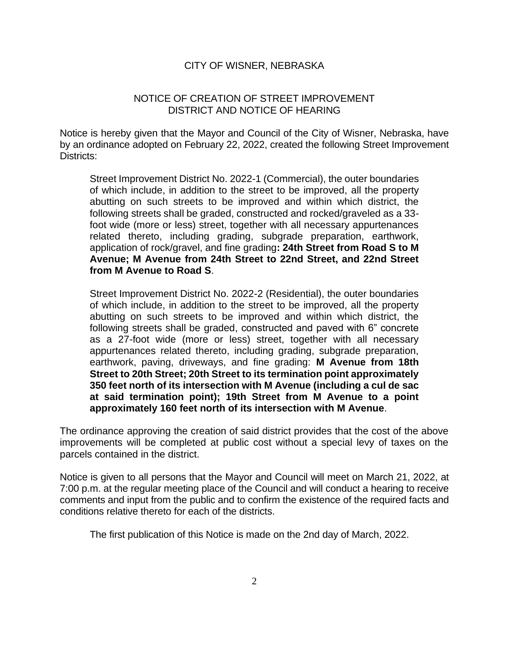## CITY OF WISNER, NEBRASKA

## NOTICE OF CREATION OF STREET IMPROVEMENT DISTRICT AND NOTICE OF HEARING

Notice is hereby given that the Mayor and Council of the City of Wisner, Nebraska, have by an ordinance adopted on February 22, 2022, created the following Street Improvement Districts:

Street Improvement District No. 2022-1 (Commercial), the outer boundaries of which include, in addition to the street to be improved, all the property abutting on such streets to be improved and within which district, the following streets shall be graded, constructed and rocked/graveled as a 33 foot wide (more or less) street, together with all necessary appurtenances related thereto, including grading, subgrade preparation, earthwork, application of rock/gravel, and fine grading**: 24th Street from Road S to M Avenue; M Avenue from 24th Street to 22nd Street, and 22nd Street from M Avenue to Road S**.

Street Improvement District No. 2022-2 (Residential), the outer boundaries of which include, in addition to the street to be improved, all the property abutting on such streets to be improved and within which district, the following streets shall be graded, constructed and paved with 6" concrete as a 27-foot wide (more or less) street, together with all necessary appurtenances related thereto, including grading, subgrade preparation, earthwork, paving, driveways, and fine grading: **M Avenue from 18th Street to 20th Street; 20th Street to its termination point approximately 350 feet north of its intersection with M Avenue (including a cul de sac at said termination point); 19th Street from M Avenue to a point approximately 160 feet north of its intersection with M Avenue**.

The ordinance approving the creation of said district provides that the cost of the above improvements will be completed at public cost without a special levy of taxes on the parcels contained in the district.

Notice is given to all persons that the Mayor and Council will meet on March 21, 2022, at 7:00 p.m. at the regular meeting place of the Council and will conduct a hearing to receive comments and input from the public and to confirm the existence of the required facts and conditions relative thereto for each of the districts.

The first publication of this Notice is made on the 2nd day of March, 2022.